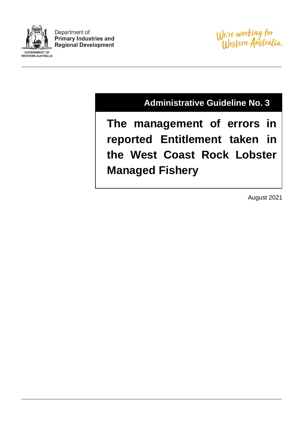

Department of **Primary Industries and Regional Development** 

WESTERN AUSTRALIA

We're working for<br>Western Anstralia.

**Administrative Guideline No. 3**

**The management of errors in reported Entitlement taken in the West Coast Rock Lobster Managed Fishery**

August 2021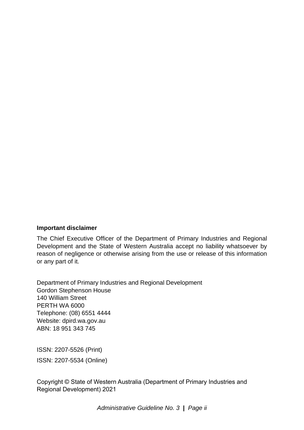### **Important disclaimer**

The Chief Executive Officer of the Department of Primary Industries and Regional Development and the State of Western Australia accept no liability whatsoever by reason of negligence or otherwise arising from the use or release of this information or any part of it.

Department of Primary Industries and Regional Development Gordon Stephenson House 140 William Street PERTH WA 6000 Telephone: (08) 6551 4444 Website: dpird.wa.gov.au ABN: 18 951 343 745

ISSN: 2207-5526 (Print) ISSN: 2207-5534 (Online)

Copyright © State of Western Australia (Department of Primary Industries and Regional Development) 2021

*Administrative Guideline No. 3* **|** *Page ii*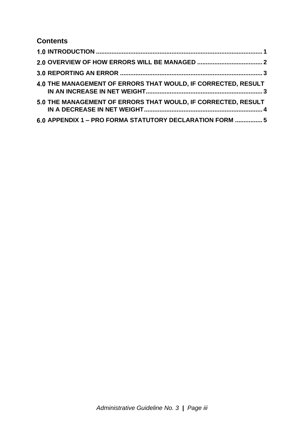## **Contents**

| 4.0 THE MANAGEMENT OF ERRORS THAT WOULD, IF CORRECTED, RESULT |
|---------------------------------------------------------------|
| 5.0 THE MANAGEMENT OF ERRORS THAT WOULD, IF CORRECTED, RESULT |
| 6.0 APPENDIX 1 - PRO FORMA STATUTORY DECLARATION FORM  5      |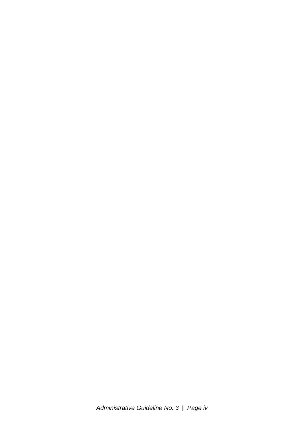*Administrative Guideline No. 3* **|** *Page iv*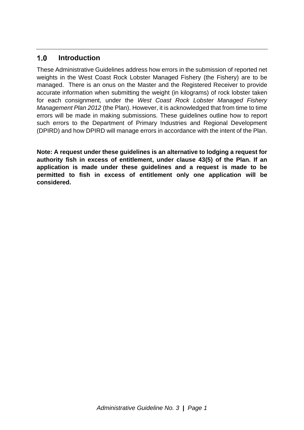#### <span id="page-4-0"></span> $1.0$ **Introduction**

These Administrative Guidelines address how errors in the submission of reported net weights in the West Coast Rock Lobster Managed Fishery (the Fishery) are to be managed. There is an onus on the Master and the Registered Receiver to provide accurate information when submitting the weight (in kilograms) of rock lobster taken for each consignment, under the *West Coast Rock Lobster Managed Fishery Management Plan 2012* (the Plan). However, it is acknowledged that from time to time errors will be made in making submissions. These guidelines outline how to report such errors to the Department of Primary Industries and Regional Development (DPIRD) and how DPIRD will manage errors in accordance with the intent of the Plan.

**Note: A request under these guidelines is an alternative to lodging a request for authority fish in excess of entitlement, under clause 43(5) of the Plan. If an application is made under these guidelines and a request is made to be permitted to fish in excess of entitlement only one application will be considered.**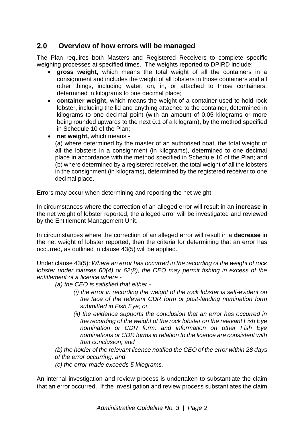#### <span id="page-5-0"></span> $2.0$ **Overview of how errors will be managed**

The Plan requires both Masters and Registered Receivers to complete specific weighing processes at specified times. The weights reported to DPIRD include;

- **gross weight,** which means the total weight of all the containers in a consignment and includes the weight of all lobsters in those containers and all other things, including water, on, in, or attached to those containers, determined in kilograms to one decimal place;
- **container weight,** which means the weight of a container used to hold rock lobster, including the lid and anything attached to the container, determined in kilograms to one decimal point (with an amount of 0.05 kilograms or more being rounded upwards to the next 0.1 of a kilogram), by the method specified in Schedule 10 of the Plan;
- **net weight,** which means -

(a) where determined by the master of an authorised boat, the total weight of all the lobsters in a consignment (in kilograms), determined to one decimal place in accordance with the method specified in Schedule 10 of the Plan; and (b) where determined by a registered receiver, the total weight of all the lobsters in the consignment (in kilograms), determined by the registered receiver to one decimal place.

Errors may occur when determining and reporting the net weight.

In circumstances where the correction of an alleged error will result in an **increase** in the net weight of lobster reported, the alleged error will be investigated and reviewed by the Entitlement Management Unit.

In circumstances where the correction of an alleged error will result in a **decrease** in the net weight of lobster reported, then the criteria for determining that an error has occurred, as outlined in clause 43(5) will be applied.

Under clause 43(5): *Where an error has occurred in the recording of the weight of rock lobster under clauses 60(4) or 62(8), the CEO may permit fishing in excess of the entitlement of a licence where -*

*(a) the CEO is satisfied that either -*

- *(i) the error in recording the weight of the rock lobster is self-evident on the face of the relevant CDR form or post-landing nomination form submitted in Fish Eye; or*
- *(ii) the evidence supports the conclusion that an error has occurred in the recording of the weight of the rock lobster on the relevant Fish Eye nomination or CDR form, and information on other Fish Eye nominations or CDR forms in relation to the licence are consistent with that conclusion; and*

*(b) the holder of the relevant licence notified the CEO of the error within 28 days of the error occurring; and* 

*(c) the error made exceeds 5 kilograms.* 

An internal investigation and review process is undertaken to substantiate the claim that an error occurred. If the investigation and review process substantiates the claim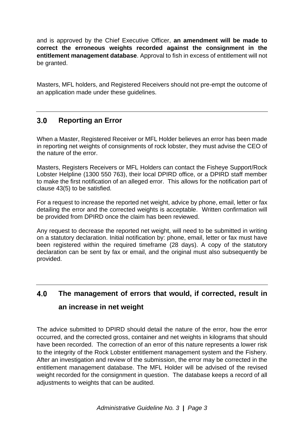and is approved by the Chief Executive Officer, **an amendment will be made to correct the erroneous weights recorded against the consignment in the entitlement management database**. Approval to fish in excess of entitlement will not be granted.

Masters, MFL holders, and Registered Receivers should not pre-empt the outcome of an application made under these guidelines.

#### <span id="page-6-0"></span> $3.0$ **Reporting an Error**

When a Master, Registered Receiver or MFL Holder believes an error has been made in reporting net weights of consignments of rock lobster, they must advise the CEO of the nature of the error.

Masters, Registers Receivers or MFL Holders can contact the Fisheye Support/Rock Lobster Helpline (1300 550 763), their local DPIRD office, or a DPIRD staff member to make the first notification of an alleged error. This allows for the notification part of clause 43(5) to be satisfied*.*

For a request to increase the reported net weight, advice by phone, email, letter or fax detailing the error and the corrected weights is acceptable. Written confirmation will be provided from DPIRD once the claim has been reviewed.

Any request to decrease the reported net weight, will need to be submitted in writing on a statutory declaration. Initial notification by: phone, email, letter or fax must have been registered within the required timeframe (28 days). A copy of the statutory declaration can be sent by fax or email, and the original must also subsequently be provided.

### <span id="page-6-1"></span>4.0 **The management of errors that would, if corrected, result in an increase in net weight**

The advice submitted to DPIRD should detail the nature of the error, how the error occurred, and the corrected gross, container and net weights in kilograms that should have been recorded. The correction of an error of this nature represents a lower risk to the integrity of the Rock Lobster entitlement management system and the Fishery. After an investigation and review of the submission, the error may be corrected in the entitlement management database. The MFL Holder will be advised of the revised weight recorded for the consignment in question. The database keeps a record of all adjustments to weights that can be audited.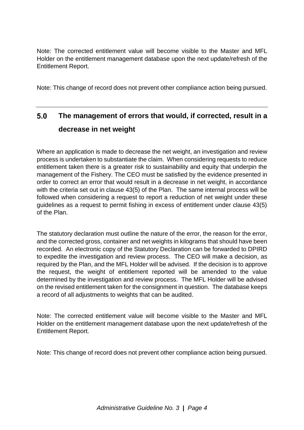Note: The corrected entitlement value will become visible to the Master and MFL Holder on the entitlement management database upon the next update/refresh of the Entitlement Report.

<span id="page-7-0"></span>Note: This change of record does not prevent other compliance action being pursued.

### $5.0$ **The management of errors that would, if corrected, result in a decrease in net weight**

Where an application is made to decrease the net weight, an investigation and review process is undertaken to substantiate the claim. When considering requests to reduce entitlement taken there is a greater risk to sustainability and equity that underpin the management of the Fishery. The CEO must be satisfied by the evidence presented in order to correct an error that would result in a decrease in net weight, in accordance with the criteria set out in clause 43(5) of the Plan. The same internal process will be followed when considering a request to report a reduction of net weight under these guidelines as a request to permit fishing in excess of entitlement under clause 43(5) of the Plan.

The statutory declaration must outline the nature of the error, the reason for the error, and the corrected gross, container and net weights in kilograms that should have been recorded. An electronic copy of the Statutory Declaration can be forwarded to DPIRD to expedite the investigation and review process. The CEO will make a decision, as required by the Plan, and the MFL Holder will be advised. If the decision is to approve the request, the weight of entitlement reported will be amended to the value determined by the investigation and review process. The MFL Holder will be advised on the revised entitlement taken for the consignment in question. The database keeps a record of all adjustments to weights that can be audited.

Note: The corrected entitlement value will become visible to the Master and MFL Holder on the entitlement management database upon the next update/refresh of the Entitlement Report.

Note: This change of record does not prevent other compliance action being pursued.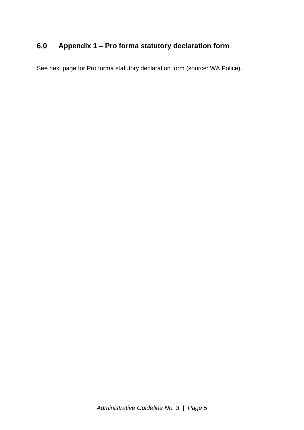### <span id="page-8-0"></span> $6.0$ **Appendix 1 – Pro forma statutory declaration form**

See next page for Pro forma statutory declaration form (source: WA Police).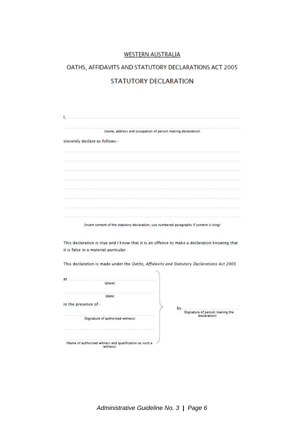### **WESTERN AUSTRALIA**

# OATHS, AFFIDAVITS AND STATUTORY DECLARATIONS ACT 2005 STATUTORY DECLARATION

| I.                                                                                           |                                                 |
|----------------------------------------------------------------------------------------------|-------------------------------------------------|
| {name, address and occupation of person making declaration}                                  |                                                 |
| sincerely declare as follows:-                                                               |                                                 |
|                                                                                              |                                                 |
|                                                                                              |                                                 |
|                                                                                              |                                                 |
|                                                                                              |                                                 |
|                                                                                              |                                                 |
|                                                                                              |                                                 |
|                                                                                              |                                                 |
| {insert content of the statutory declaration; use numbered paragraphs if content is long}    |                                                 |
|                                                                                              |                                                 |
| This declaration is true and I know that it is an offence to make a declaration knowing that |                                                 |
| it is false in a material particular.                                                        |                                                 |
| This declaration is made under the Oaths, Affidavits and Statutory Declarations Act 2005     |                                                 |
|                                                                                              |                                                 |
| at<br>{place}                                                                                |                                                 |
| {date}                                                                                       |                                                 |
| in the presence of -                                                                         | bv.                                             |
| {Signature of authorised witness}                                                            | {Signature of person making the<br>declaration} |
|                                                                                              |                                                 |
|                                                                                              |                                                 |
| {Name of authorised witness and qualification as such a<br>witnessl                          |                                                 |
|                                                                                              |                                                 |

*Administrative Guideline No. 3* **|** *Page 6*